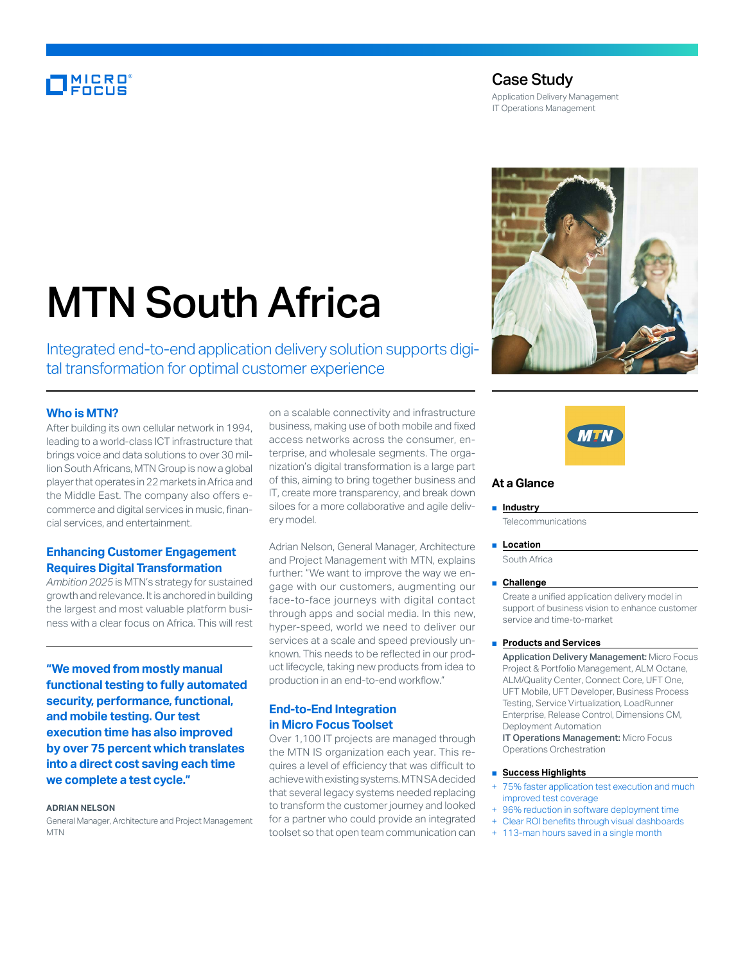# **MICRO**<br>FOCUS

# Case Study

Application Delivery Management IT Operations Management





# **At a Glance**

#### ■ **Industry**

**Telecommunications** 

■ **Location** 

South Africa

#### ■ **Challenge**

Create a unified application delivery model in support of business vision to enhance customer service and time-to-market

#### ■ **Products and Services**

Application Delivery Management: Micro Focus Project & Portfolio Management, ALM Octane, ALM/Quality Center, Connect Core, UFT One, UFT Mobile, UFT Developer, Business Process Testing, Service Virtualization, LoadRunner Enterprise, Release Control, Dimensions CM, Deployment Automation

IT Operations Management: Micro Focus Operations Orchestration

#### ■ **Success Highlights**

- 75% faster application test execution and much improved test coverage
- 96% reduction in software deployment time
- Clear ROI benefits through visual dashboards
- 113-man hours saved in a single month

# MTN South Africa

Integrated end-to-end application delivery solution supports digital transformation for optimal customer experience

#### **Who is MTN?**

After building its own cellular network in 1994, leading to a world-class ICT infrastructure that brings voice and data solutions to over 30 million South Africans, MTN Group is now a global player that operates in 22 markets in Africa and the Middle East. The company also offers ecommerce and digital services in music, financial services, and entertainment.

# **Enhancing Customer Engagement Requires Digital Transformation**

*Ambition 2025* is MTN's strategy for sustained growth and relevance. It is anchored in building the largest and most valuable platform business with a clear focus on Africa. This will rest

**"We moved from mostly manual functional testing to fully automated security, performance, functional, and mobile testing. Our test execution time has also improved by over 75 percent which translates into a direct cost saving each time we complete a test cycle."**

#### **ADRIAN NELSON**

General Manager, Architecture and Project Management **MTN** 

on a scalable connectivity and infrastructure business, making use of both mobile and fixed access networks across the consumer, enterprise, and wholesale segments. The organization's digital transformation is a large part of this, aiming to bring together business and IT, create more transparency, and break down siloes for a more collaborative and agile delivery model.

Adrian Nelson, General Manager, Architecture and Project Management with MTN, explains further: "We want to improve the way we engage with our customers, augmenting our face-to-face journeys with digital contact through apps and social media. In this new, hyper-speed, world we need to deliver our services at a scale and speed previously unknown. This needs to be reflected in our product lifecycle, taking new products from idea to production in an end-to-end workflow."

# **End-to-End Integration in Micro Focus Toolset**

Over 1,100 IT projects are managed through the MTN IS organization each year. This requires a level of efficiency that was difficult to achieve with existing systems. MTN SA decided that several legacy systems needed replacing to transform the customer journey and looked for a partner who could provide an integrated toolset so that open team communication can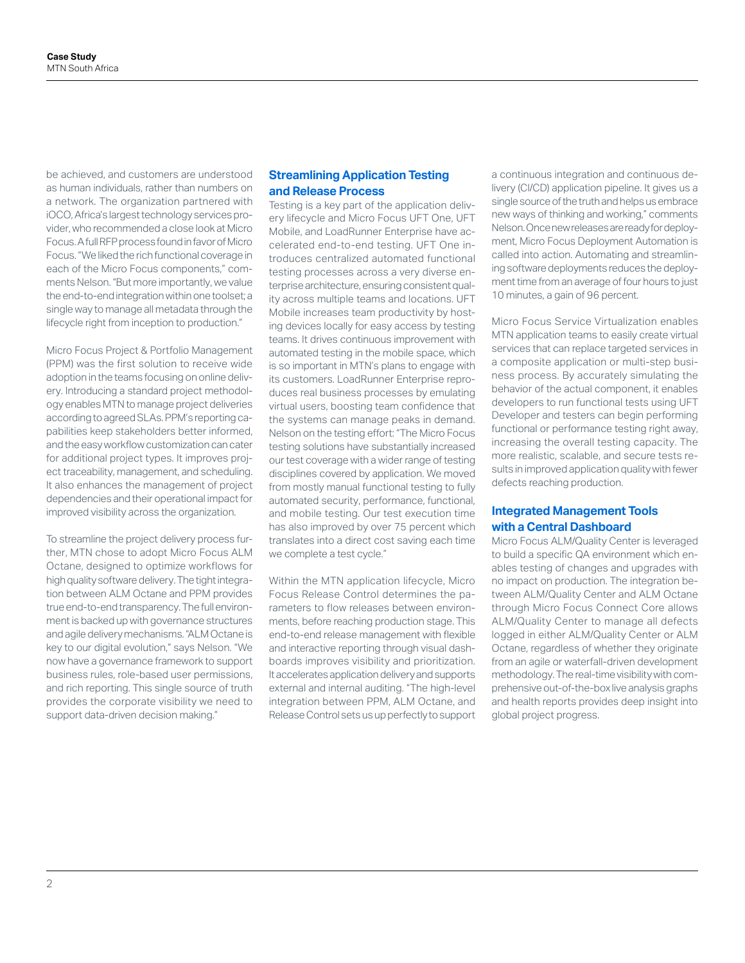be achieved, and customers are understood as human individuals, rather than numbers on a network. The organization partnered with iOCO, Africa's largest technology services provider, who recommended a close look at Micro Focus. A full RFP process found in favor of Micro Focus. "We liked the rich functional coverage in each of the Micro Focus components," comments Nelson. "But more importantly, we value the end-to-end integration within one toolset; a single way to manage all metadata through the lifecycle right from inception to production."

Micro Focus Project & Portfolio Management (PPM) was the first solution to receive wide adoption in the teams focusing on online delivery. Introducing a standard project methodology enables MTN to manage project deliveries according to agreed SLAs. PPM's reporting capabilities keep stakeholders better informed, and the easy workflow customization can cater for additional project types. It improves project traceability, management, and scheduling. It also enhances the management of project dependencies and their operational impact for improved visibility across the organization.

To streamline the project delivery process further, MTN chose to adopt Micro Focus ALM Octane, designed to optimize workflows for high quality software delivery. The tight integration between ALM Octane and PPM provides true end-to-end transparency. The full environment is backed up with governance structures and agile delivery mechanisms. "ALM Octane is key to our digital evolution," says Nelson. "We now have a governance framework to support business rules, role-based user permissions, and rich reporting. This single source of truth provides the corporate visibility we need to support data-driven decision making."

# **Streamlining Application Testing and Release Process**

Testing is a key part of the application delivery lifecycle and Micro Focus UFT One, UFT Mobile, and LoadRunner Enterprise have accelerated end-to-end testing. UFT One introduces centralized automated functional testing processes across a very diverse enterprise architecture, ensuring consistent quality across multiple teams and locations. UFT Mobile increases team productivity by hosting devices locally for easy access by testing teams. It drives continuous improvement with automated testing in the mobile space, which is so important in MTN's plans to engage with its customers. LoadRunner Enterprise reproduces real business processes by emulating virtual users, boosting team confidence that the systems can manage peaks in demand. Nelson on the testing effort: "The Micro Focus testing solutions have substantially increased our test coverage with a wider range of testing disciplines covered by application. We moved from mostly manual functional testing to fully automated security, performance, functional, and mobile testing. Our test execution time has also improved by over 75 percent which translates into a direct cost saving each time we complete a test cycle."

Within the MTN application lifecycle, Micro Focus Release Control determines the parameters to flow releases between environments, before reaching production stage. This end-to-end release management with flexible and interactive reporting through visual dashboards improves visibility and prioritization. It accelerates application delivery and supports external and internal auditing. "The high-level integration between PPM, ALM Octane, and Release Control sets us up perfectly to support

a continuous integration and continuous delivery (CI/CD) application pipeline. It gives us a single source of the truth and helps us embrace new ways of thinking and working," comments Nelson. Once new releases are ready for deployment, Micro Focus Deployment Automation is called into action. Automating and streamlining software deployments reduces the deployment time from an average of four hours to just 10 minutes, a gain of 96 percent.

Micro Focus Service Virtualization enables MTN application teams to easily create virtual services that can replace targeted services in a composite application or multi-step business process. By accurately simulating the behavior of the actual component, it enables developers to run functional tests using UFT Developer and testers can begin performing functional or performance testing right away, increasing the overall testing capacity. The more realistic, scalable, and secure tests results in improved application quality with fewer defects reaching production.

## **Integrated Management Tools with a Central Dashboard**

Micro Focus ALM/Quality Center is leveraged to build a specific QA environment which enables testing of changes and upgrades with no impact on production. The integration between ALM/Quality Center and ALM Octane through Micro Focus Connect Core allows ALM/Quality Center to manage all defects logged in either ALM/Quality Center or ALM Octane, regardless of whether they originate from an agile or waterfall-driven development methodology. The real-time visibility with comprehensive out-of-the-box live analysis graphs and health reports provides deep insight into global project progress.